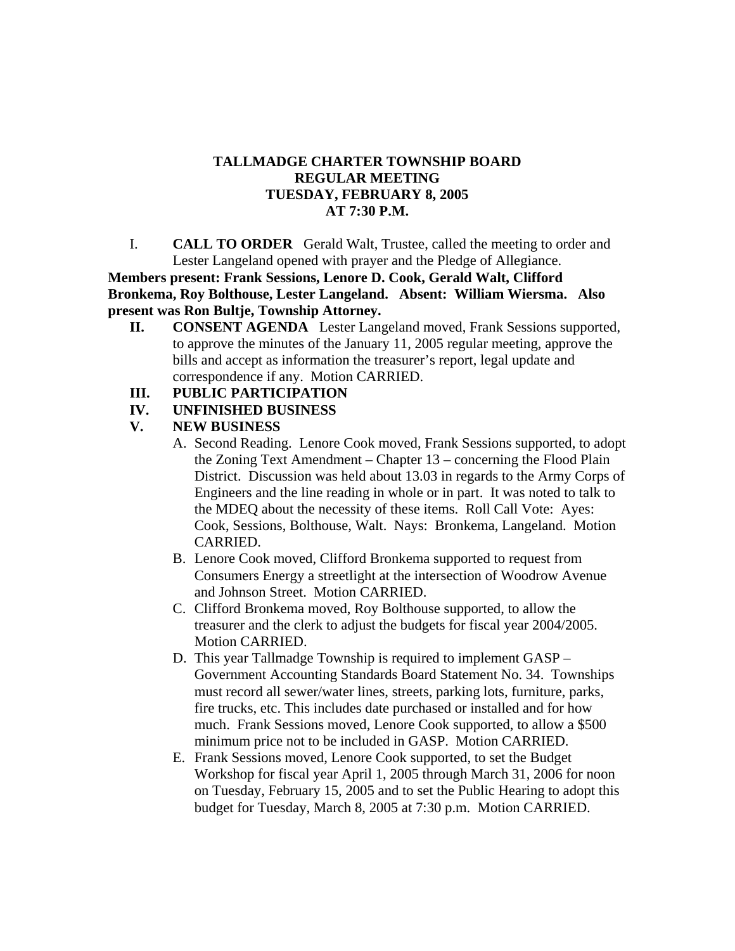## **TALLMADGE CHARTER TOWNSHIP BOARD REGULAR MEETING TUESDAY, FEBRUARY 8, 2005 AT 7:30 P.M.**

I. **CALL TO ORDER** Gerald Walt, Trustee, called the meeting to order and Lester Langeland opened with prayer and the Pledge of Allegiance.

**Members present: Frank Sessions, Lenore D. Cook, Gerald Walt, Clifford Bronkema, Roy Bolthouse, Lester Langeland. Absent: William Wiersma. Also present was Ron Bultje, Township Attorney.**

- **II. CONSENT AGENDA** Lester Langeland moved, Frank Sessions supported, to approve the minutes of the January 11, 2005 regular meeting, approve the bills and accept as information the treasurer's report, legal update and correspondence if any. Motion CARRIED.
- **III. PUBLIC PARTICIPATION**
- **IV. UNFINISHED BUSINESS**

## **V. NEW BUSINESS**

- A. Second Reading. Lenore Cook moved, Frank Sessions supported, to adopt the Zoning Text Amendment – Chapter 13 – concerning the Flood Plain District. Discussion was held about 13.03 in regards to the Army Corps of Engineers and the line reading in whole or in part. It was noted to talk to the MDEQ about the necessity of these items. Roll Call Vote: Ayes: Cook, Sessions, Bolthouse, Walt. Nays: Bronkema, Langeland. Motion CARRIED.
- B. Lenore Cook moved, Clifford Bronkema supported to request from Consumers Energy a streetlight at the intersection of Woodrow Avenue and Johnson Street. Motion CARRIED.
- C. Clifford Bronkema moved, Roy Bolthouse supported, to allow the treasurer and the clerk to adjust the budgets for fiscal year 2004/2005. Motion CARRIED.
- D. This year Tallmadge Township is required to implement GASP Government Accounting Standards Board Statement No. 34. Townships must record all sewer/water lines, streets, parking lots, furniture, parks, fire trucks, etc. This includes date purchased or installed and for how much. Frank Sessions moved, Lenore Cook supported, to allow a \$500 minimum price not to be included in GASP. Motion CARRIED.
- E. Frank Sessions moved, Lenore Cook supported, to set the Budget Workshop for fiscal year April 1, 2005 through March 31, 2006 for noon on Tuesday, February 15, 2005 and to set the Public Hearing to adopt this budget for Tuesday, March 8, 2005 at 7:30 p.m. Motion CARRIED.